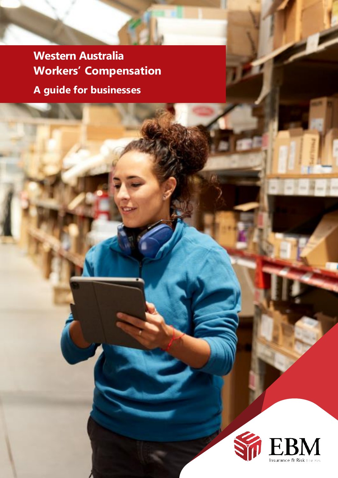**Western Australia Workers' Compensation A guide for businesses**

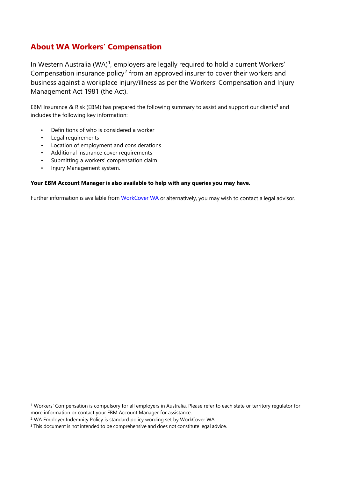# **About WA Workers' Compensation**

In Western Australia (WA)<sup>[1](#page-1-0)</sup>, employers are legally required to hold a current Workers' Compensation insurance policy<sup>[2](#page-1-1)</sup> from an approved insurer to cover their workers and business against a workplace injury/illness as per the Workers' Compensation and Injury Management Act 1981 (the Act).

EBM Insurance & Risk (EBM) has prepared the following summary to assist and support our clients<sup>[3](#page-1-2)</sup> and includes the following key information:

- Definitions of who is considered a worker
- Legal requirements
- Location of employment and considerations
- Additional insurance cover requirements
- Submitting a workers' compensation claim
- Injury Management system.

### **Your EBM Account Manager is also available to help with any queries you may have.**

Further information is available from [WorkCover WA](https://www.workcover.wa.gov.au/employers/understanding-your-rights-obligations/covering-your-workers/) or alternatively, you may wish to contact a legal advisor.

<span id="page-1-0"></span><sup>1</sup> Workers' Compensation is compulsory for all employers in Australia. Please refer to each state or territory regulator for more information or contact your EBM Account Manager for assistance.

<span id="page-1-1"></span><sup>&</sup>lt;sup>2</sup> WA Employer Indemnity Policy is standard policy wording set by WorkCover WA.

<span id="page-1-2"></span><sup>&</sup>lt;sup>3</sup> This document is not intended to be comprehensive and does not constitute legal advice.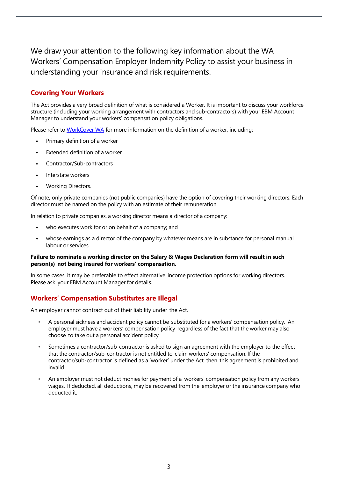We draw your attention to the following key information about the WA Workers' Compensation Employer Indemnity Policy to assist your business in understanding your insurance and risk requirements.

# **Covering Your Workers**

The Act provides a very broad definition of what is considered a Worker. It is important to discuss your workforce structure (including your working arrangement with contractors and sub-contractors) with your EBM Account Manager to understand your workers' compensation policy obligations.

Please refer t[o WorkCover WA](https://www.workcover.wa.gov.au/employers/understanding-your-rights-obligations/covering-your-workers/) for more information on the definition of a worker, including:

- **•** Primary definition of a worker
- **•** Extended definition of a worker
- **•** Contractor/Sub-contractors
- **•** Interstate workers
- **•** Working Directors.

Of note, only private companies (not public companies) have the option of covering their working directors. Each director must be named on the policy with an estimate of their remuneration.

In relation to private companies, a working director means a director of a company:

- **•** who executes work for or on behalf of a company; and
- **•** whose earnings as a director of the company by whatever means are in substance for personal manual labour or services.

#### **Failure to nominate a working director on the Salary & Wages Declaration form will result in such person(s) not being insured for workers' compensation.**

In some cases, it may be preferable to effect alternative income protection options for working directors. Please ask your EBM Account Manager for details.

# **Workers' Compensation Substitutes are Illegal**

An employer cannot contract out of their liability under the Act.

- A personal sickness and accident policy cannot be substituted for a workers' compensation policy. An employer must have a workers' compensation policy regardless of the fact that the worker may also choose to take out a personal accident policy
- Sometimes a contractor/sub-contractor is asked to sign an agreement with the employer to the effect that the contractor/sub-contractor is not entitled to claim workers' compensation. If the contractor/sub-contractor is defined as a 'worker' under the Act, then this agreement is prohibited and invalid
- An employer must not deduct monies for payment of a workers' compensation policy from any workers wages. If deducted, all deductions, may be recovered from the employer or the insurance company who deducted it.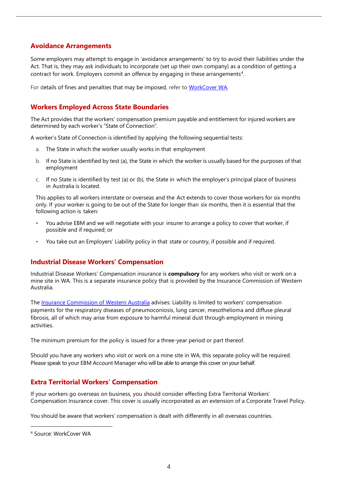# **Avoidance Arrangements**

Some employers may attempt to engage in 'avoidance arrangements' to try to avoid their liabilities under the Act. That is, they may ask individuals to incorporate (set up their own company) as a condition of getting a contract for work. Employers commit an offence by engaging in these arrangements $^4$  $^4$ .

For details of fines and penalties that may be imposed, refer to [WorkCover WA.](https://www.workcover.wa.gov.au/employers/compliance-activities/)

# **Workers Employed Across State Boundaries**

The Act provides that the workers' compensation premium payable and entitlement for injured workers are determined by each worker's "State of Connection".

A worker's State of Connection is identified by applying the following sequential tests:

- a. The State in which the worker usually works in that employment
- b. If no State is identified by test (a), the State in which the worker is usually based for the purposes of that employment
- c. If no State is identified by test (a) or (b), the State in which the employer's principal place of business in Australia is located.

This applies to all workers interstate or overseas and the Act extends to cover those workers for six months only. If your worker is going to be out of the State for longer than six months, then it is essential that the following action is taken:

- You advise EBM and we will negotiate with your insurer to arrange a policy to cover that worker, if possible and if required; or
- You take out an Employers' Liability policy in that state or country, if possible and if required.

# **Industrial Disease Workers' Compensation**

Industrial Disease Workers' Compensation insurance is **compulsory** for any workers who visit or work on a mine site in WA. This is a separate insurance policy that is provided by the Insurance Commission of Western Australia.

The [Insurance Commission of Western Australia](https://www.icwa.wa.gov.au/other-insurance/industrial-diseases) advises: Liability is limited to workers' compensation payments for the respiratory diseases of pneumoconiosis, lung cancer, mesothelioma and diffuse pleural fibrosis, all of which may arise from exposure to harmful mineral dust through employment in mining activities.

The minimum premium for the policy is issued for a three-year period or part thereof.

Should you have any workers who visit or work on a mine site in WA, this separate policy will be required. Please speak to your EBM Account Manager who will be able to arrange this cover on your behalf.

# **Extra Territorial Workers' Compensation**

If your workers go overseas on business, you should consider effecting Extra Territorial Workers' Compensation Insurance cover. This cover is usually incorporated as an extension of a Corporate Travel Policy.

You should be aware that workers' compensation is dealt with differently in all overseas countries.

<span id="page-3-0"></span><sup>4</sup> Source: WorkCover WA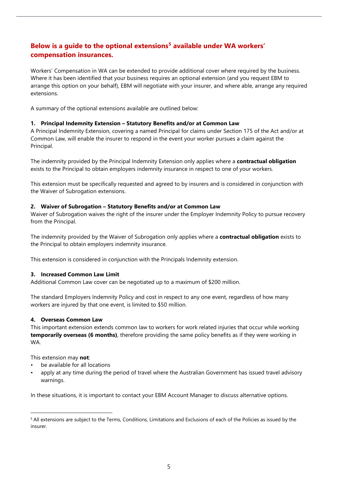# **Below is a guide to the optional extensions[5](#page-4-0) available under WA workers' compensation insurances.**

Workers' Compensation in WA can be extended to provide additional cover where required by the business. Where it has been identified that your business requires an optional extension (and you request EBM to arrange this option on your behalf), EBM will negotiate with your insurer, and where able, arrange any required extensions.

A summary of the optional extensions available are outlined below:

## **1. Principal Indemnity Extension – Statutory Benefits and/or at Common Law**

A Principal Indemnity Extension, covering a named Principal for claims under Section 175 of the Act and/or at Common Law, will enable the insurer to respond in the event your worker pursues a claim against the Principal.

The indemnity provided by the Principal Indemnity Extension only applies where a **contractual obligation** exists to the Principal to obtain employers indemnity insurance in respect to one of your workers.

This extension must be specifically requested and agreed to by insurers and is considered in conjunction with the Waiver of Subrogation extensions.

### **2. Waiver of Subrogation – Statutory Benefits and/or at Common Law**

Waiver of Subrogation waives the right of the insurer under the Employer Indemnity Policy to pursue recovery from the Principal.

The indemnity provided by the Waiver of Subrogation only applies where a **contractual obligation** exists to the Principal to obtain employers indemnity insurance.

This extension is considered in conjunction with the Principals Indemnity extension.

#### **3. Increased Common Law Limit**

Additional Common Law cover can be negotiated up to a maximum of \$200 million.

The standard Employers Indemnity Policy and cost in respect to any one event, regardless of how many workers are injured by that one event, is limited to \$50 million.

## **4. Overseas Common Law**

This important extension extends common law to workers for work related injuries that occur while working **temporarily overseas (6 months)**, therefore providing the same policy benefits as if they were working in WA.

This extension may **not**:

- be available for all locations
- apply at any time during the period of travel where the Australian Government has issued travel advisory warnings.

In these situations, it is important to contact your EBM Account Manager to discuss alternative options.

<span id="page-4-0"></span><sup>5</sup> All extensions are subject to the Terms, Conditions, Limitations and Exclusions of each of the Policies as issued by the insurer.